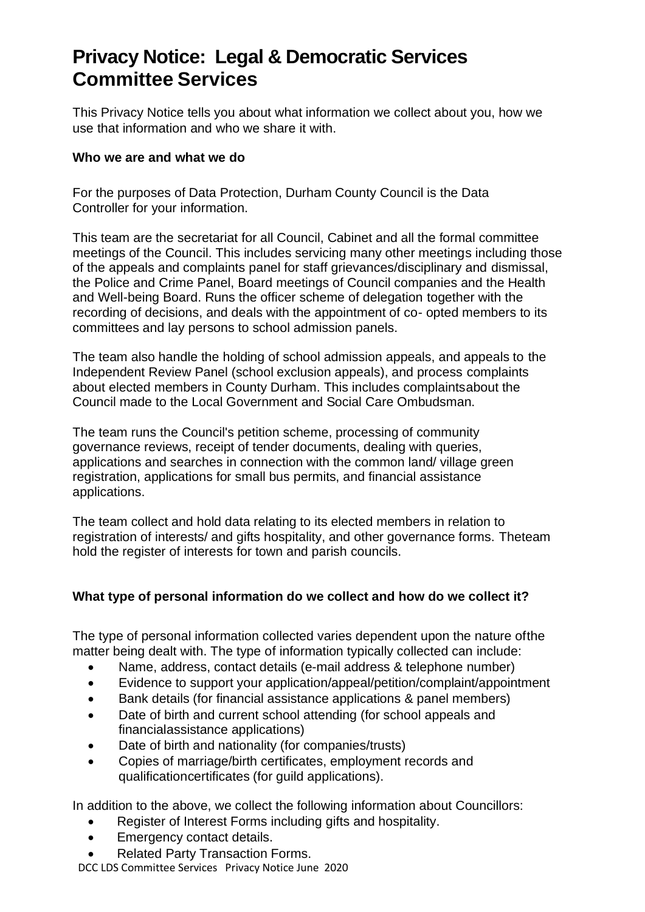# **Privacy Notice: Legal & Democratic Services Committee Services**

This Privacy Notice tells you about what information we collect about you, how we use that information and who we share it with.

#### **Who we are and what we do**

For the purposes of Data Protection, Durham County Council is the Data Controller for your information.

This team are the secretariat for all Council, Cabinet and all the formal committee meetings of the Council. This includes servicing many other meetings including those of the appeals and complaints panel for staff grievances/disciplinary and dismissal, the Police and Crime Panel, Board meetings of Council companies and the Health and Well-being Board. Runs the officer scheme of delegation together with the recording of decisions, and deals with the appointment of co- opted members to its committees and lay persons to school admission panels.

The team also handle the holding of school admission appeals, and appeals to the Independent Review Panel (school exclusion appeals), and process complaints about elected members in County Durham. This includes complaintsabout the Council made to the Local Government and Social Care Ombudsman.

The team runs the Council's petition scheme, processing of community governance reviews, receipt of tender documents, dealing with queries, applications and searches in connection with the common land/ village green registration, applications for small bus permits, and financial assistance applications.

The team collect and hold data relating to its elected members in relation to registration of interests/ and gifts hospitality, and other governance forms. Theteam hold the register of interests for town and parish councils.

#### **What type of personal information do we collect and how do we collect it?**

The type of personal information collected varies dependent upon the nature ofthe matter being dealt with. The type of information typically collected can include:

- Name, address, contact details (e-mail address & telephone number)
- Evidence to support your application/appeal/petition/complaint/appointment
- Bank details (for financial assistance applications & panel members)
- Date of birth and current school attending (for school appeals and financialassistance applications)
- Date of birth and nationality (for companies/trusts)
- Copies of marriage/birth certificates, employment records and qualificationcertificates (for guild applications).

In addition to the above, we collect the following information about Councillors:

- Register of Interest Forms including gifts and hospitality.
- Emergency contact details.
- Related Party Transaction Forms.

DCC LDS Committee Services Privacy Notice June 2020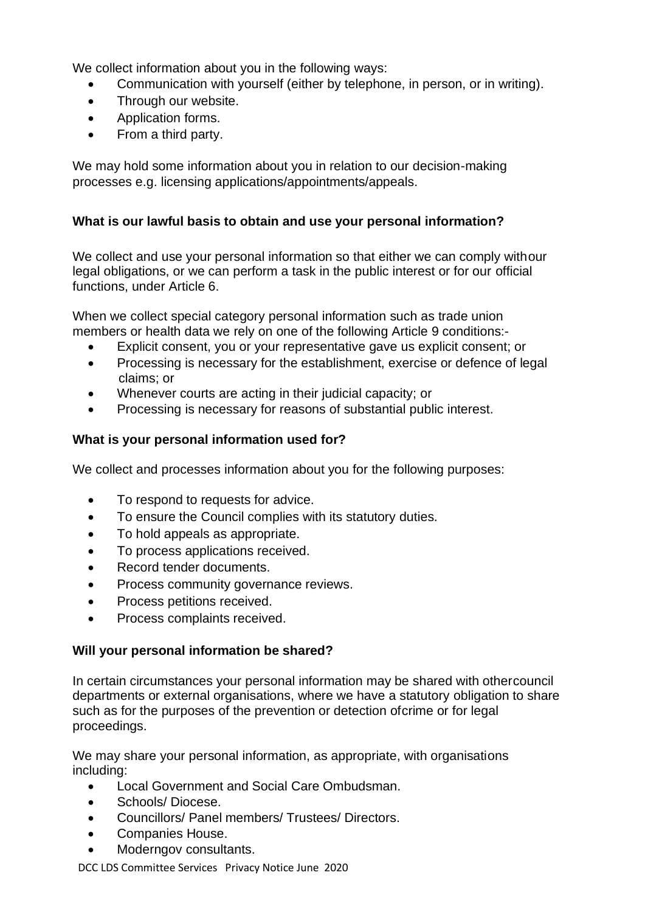We collect information about you in the following ways:

- Communication with yourself (either by telephone, in person, or in writing).
- Through our website.
- Application forms.
- From a third party.

We may hold some information about you in relation to our decision-making processes e.g. licensing applications/appointments/appeals.

# **What is our lawful basis to obtain and use your personal information?**

We collect and use your personal information so that either we can comply withour legal obligations, or we can perform a task in the public interest or for our official functions, under Article 6.

When we collect special category personal information such as trade union members or health data we rely on one of the following Article 9 conditions:-

- Explicit consent, you or your representative gave us explicit consent; or
- Processing is necessary for the establishment, exercise or defence of legal claims; or
- Whenever courts are acting in their judicial capacity; or
- Processing is necessary for reasons of substantial public interest.

# **What is your personal information used for?**

We collect and processes information about you for the following purposes:

- To respond to requests for advice.
- To ensure the Council complies with its statutory duties.
- To hold appeals as appropriate.
- To process applications received.
- Record tender documents.
- Process community governance reviews.
- Process petitions received.
- Process complaints received.

# **Will your personal information be shared?**

In certain circumstances your personal information may be shared with othercouncil departments or external organisations, where we have a statutory obligation to share such as for the purposes of the prevention or detection ofcrime or for legal proceedings.

We may share your personal information, as appropriate, with organisations including:

- Local Government and Social Care Ombudsman.
- Schools/ Diocese.
- Councillors/ Panel members/ Trustees/ Directors.
- Companies House.
- Moderngov consultants.

DCC LDS Committee Services Privacy Notice June 2020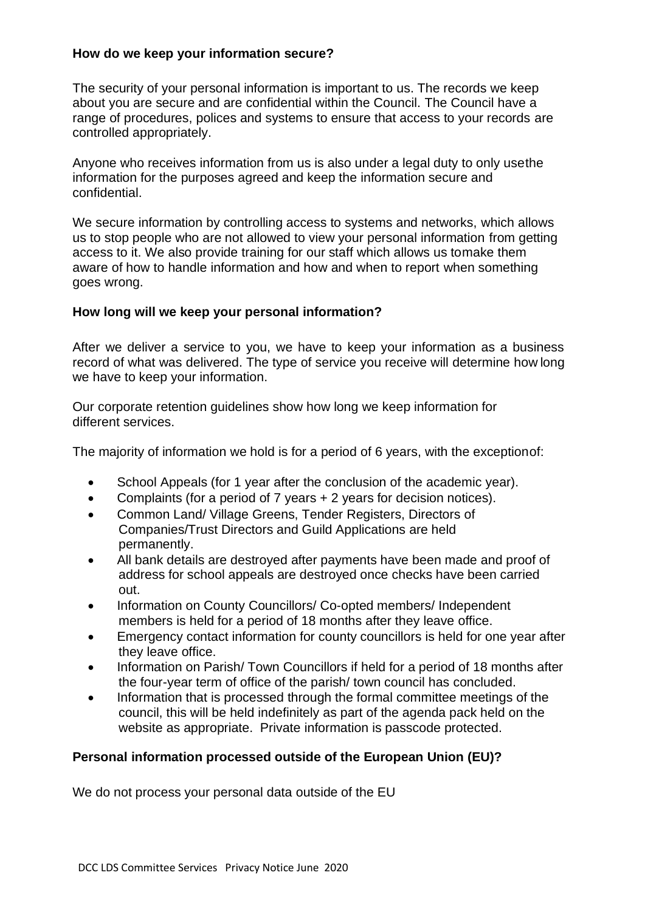#### **How do we keep your information secure?**

The security of your personal information is important to us. The records we keep about you are secure and are confidential within the Council. The Council have a range of procedures, polices and systems to ensure that access to your records are controlled appropriately.

Anyone who receives information from us is also under a legal duty to only usethe information for the purposes agreed and keep the information secure and confidential.

We secure information by controlling access to systems and networks, which allows us to stop people who are not allowed to view your personal information from getting access to it. We also provide training for our staff which allows us tomake them aware of how to handle information and how and when to report when something goes wrong.

#### **How long will we keep your personal information?**

After we deliver a service to you, we have to keep your information as a business record of what was delivered. The type of service you receive will determine how long we have to keep your information.

Our corporate retention guidelines show how long we keep information for different services.

The majority of information we hold is for a period of 6 years, with the exceptionof:

- School Appeals (for 1 year after the conclusion of the academic year).
- Complaints (for a period of 7 years + 2 years for decision notices).
- Common Land/ Village Greens, Tender Registers, Directors of Companies/Trust Directors and Guild Applications are held permanently.
- All bank details are destroyed after payments have been made and proof of address for school appeals are destroyed once checks have been carried out.
- Information on County Councillors/ Co-opted members/ Independent members is held for a period of 18 months after they leave office.
- Emergency contact information for county councillors is held for one year after they leave office.
- Information on Parish/ Town Councillors if held for a period of 18 months after the four-year term of office of the parish/ town council has concluded.
- Information that is processed through the formal committee meetings of the council, this will be held indefinitely as part of the agenda pack held on the website as appropriate. Private information is passcode protected.

#### **Personal information processed outside of the European Union (EU)?**

We do not process your personal data outside of the EU